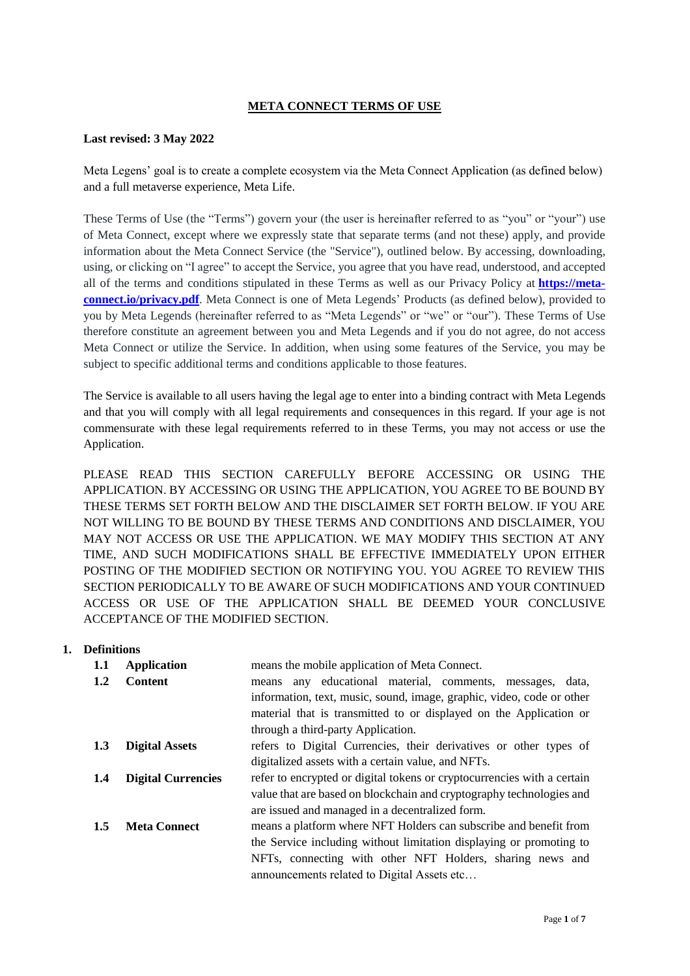# **META CONNECT TERMS OF USE**

### **Last revised: 3 May 2022**

Meta Legens' goal is to create a complete ecosystem via the Meta Connect Application (as defined below) and a full metaverse experience, Meta Life.

These Terms of Use (the "Terms") govern your (the user is hereinafter referred to as "you" or "your") use of Meta Connect, except where we expressly state that separate terms (and not these) apply, and provide information about the Meta Connect Service (the "Service"), outlined below. By accessing, downloading, using, or clicking on "I agree" to accept the Service, you agree that you have read, understood, and accepted all of the terms and conditions stipulated in these Terms as well as our Privacy Policy at **[https://meta](https://meta-connect.io/privacy.pdf)[connect.io/privacy.pdf](https://meta-connect.io/privacy.pdf)**. Meta Connect is one of Meta Legends' Products (as defined below), provided to you by Meta Legends (hereinafter referred to as "Meta Legends" or "we" or "our"). These Terms of Use therefore constitute an agreement between you and Meta Legends and if you do not agree, do not access Meta Connect or utilize the Service. In addition, when using some features of the Service, you may be subject to specific additional terms and conditions applicable to those features.

The Service is available to all users having the legal age to enter into a binding contract with Meta Legends and that you will comply with all legal requirements and consequences in this regard. If your age is not commensurate with these legal requirements referred to in these Terms, you may not access or use the Application.

PLEASE READ THIS SECTION CAREFULLY BEFORE ACCESSING OR USING THE APPLICATION. BY ACCESSING OR USING THE APPLICATION, YOU AGREE TO BE BOUND BY THESE TERMS SET FORTH BELOW AND THE DISCLAIMER SET FORTH BELOW. IF YOU ARE NOT WILLING TO BE BOUND BY THESE TERMS AND CONDITIONS AND DISCLAIMER, YOU MAY NOT ACCESS OR USE THE APPLICATION. WE MAY MODIFY THIS SECTION AT ANY TIME, AND SUCH MODIFICATIONS SHALL BE EFFECTIVE IMMEDIATELY UPON EITHER POSTING OF THE MODIFIED SECTION OR NOTIFYING YOU. YOU AGREE TO REVIEW THIS SECTION PERIODICALLY TO BE AWARE OF SUCH MODIFICATIONS AND YOUR CONTINUED ACCESS OR USE OF THE APPLICATION SHALL BE DEEMED YOUR CONCLUSIVE ACCEPTANCE OF THE MODIFIED SECTION.

## **1. Definitions**

| 1.1 | <b>Application</b>        | means the mobile application of Meta Connect.                           |
|-----|---------------------------|-------------------------------------------------------------------------|
| 1.2 | <b>Content</b>            | any educational material, comments, messages, data,<br>means            |
|     |                           | information, text, music, sound, image, graphic, video, code or other   |
|     |                           | material that is transmitted to or displayed on the Application or      |
|     |                           | through a third-party Application.                                      |
| 1.3 | <b>Digital Assets</b>     | refers to Digital Currencies, their derivatives or other types of       |
|     |                           | digitalized assets with a certain value, and NFTs.                      |
| 1.4 | <b>Digital Currencies</b> | refer to encrypted or digital tokens or cryptocurrencies with a certain |
|     |                           | value that are based on blockchain and cryptography technologies and    |
|     |                           | are issued and managed in a decentralized form.                         |
| 1.5 | <b>Meta Connect</b>       | means a platform where NFT Holders can subscribe and benefit from       |
|     |                           | the Service including without limitation displaying or promoting to     |
|     |                           | NFTs, connecting with other NFT Holders, sharing news and               |
|     |                           | announcements related to Digital Assets etc                             |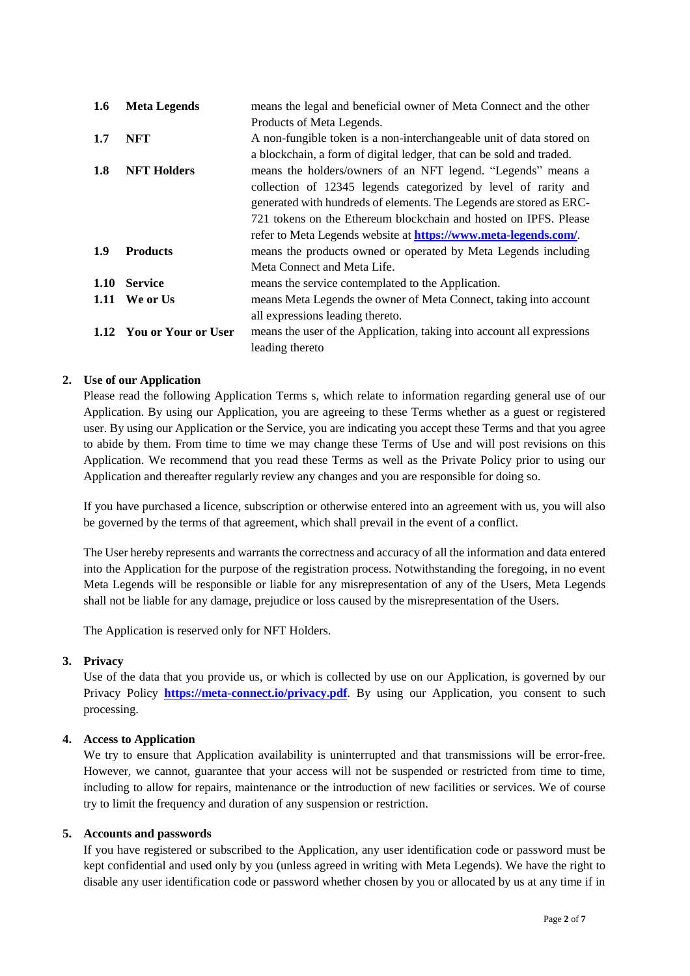| 1.6  | <b>Meta Legends</b>      | means the legal and beneficial owner of Meta Connect and the other      |
|------|--------------------------|-------------------------------------------------------------------------|
|      |                          | Products of Meta Legends.                                               |
| 1.7  | NFT                      | A non-fungible token is a non-interchangeable unit of data stored on    |
|      |                          | a blockchain, a form of digital ledger, that can be sold and traded.    |
| 1.8  | <b>NFT Holders</b>       | means the holders/owners of an NFT legend. "Legends" means a            |
|      |                          | collection of 12345 legends categorized by level of rarity and          |
|      |                          | generated with hundreds of elements. The Legends are stored as ERC-     |
|      |                          | 721 tokens on the Ethereum blockchain and hosted on IPFS. Please        |
|      |                          | refer to Meta Legends website at <b>https://www.meta-legends.com/</b> . |
| 1.9  | <b>Products</b>          | means the products owned or operated by Meta Legends including          |
|      |                          | Meta Connect and Meta Life.                                             |
| 1.10 | <b>Service</b>           | means the service contemplated to the Application.                      |
|      | 1.11 We or Us            | means Meta Legends the owner of Meta Connect, taking into account       |
|      |                          | all expressions leading thereto.                                        |
|      | 1.12 You or Your or User | means the user of the Application, taking into account all expressions  |
|      |                          | leading thereto                                                         |

## **2. Use of our Application**

Please read the following Application Terms s, which relate to information regarding general use of our Application. By using our Application, you are agreeing to these Terms whether as a guest or registered user. By using our Application or the Service, you are indicating you accept these Terms and that you agree to abide by them. From time to time we may change these Terms of Use and will post revisions on this Application. We recommend that you read these Terms as well as the Private Policy prior to using our Application and thereafter regularly review any changes and you are responsible for doing so.

If you have purchased a licence, subscription or otherwise entered into an agreement with us, you will also be governed by the terms of that agreement, which shall prevail in the event of a conflict.

The User hereby represents and warrants the correctness and accuracy of all the information and data entered into the Application for the purpose of the registration process. Notwithstanding the foregoing, in no event Meta Legends will be responsible or liable for any misrepresentation of any of the Users, Meta Legends shall not be liable for any damage, prejudice or loss caused by the misrepresentation of the Users.

The Application is reserved only for NFT Holders.

### **3. Privacy**

Use of the data that you provide us, or which is collected by use on our Application, is governed by our Privacy Policy **<https://meta-connect.io/privacy.pdf>**. By using our Application, you consent to such processing.

## **4. Access to Application**

We try to ensure that Application availability is uninterrupted and that transmissions will be error-free. However, we cannot, guarantee that your access will not be suspended or restricted from time to time, including to allow for repairs, maintenance or the introduction of new facilities or services. We of course try to limit the frequency and duration of any suspension or restriction.

### **5. Accounts and passwords**

If you have registered or subscribed to the Application, any user identification code or password must be kept confidential and used only by you (unless agreed in writing with Meta Legends). We have the right to disable any user identification code or password whether chosen by you or allocated by us at any time if in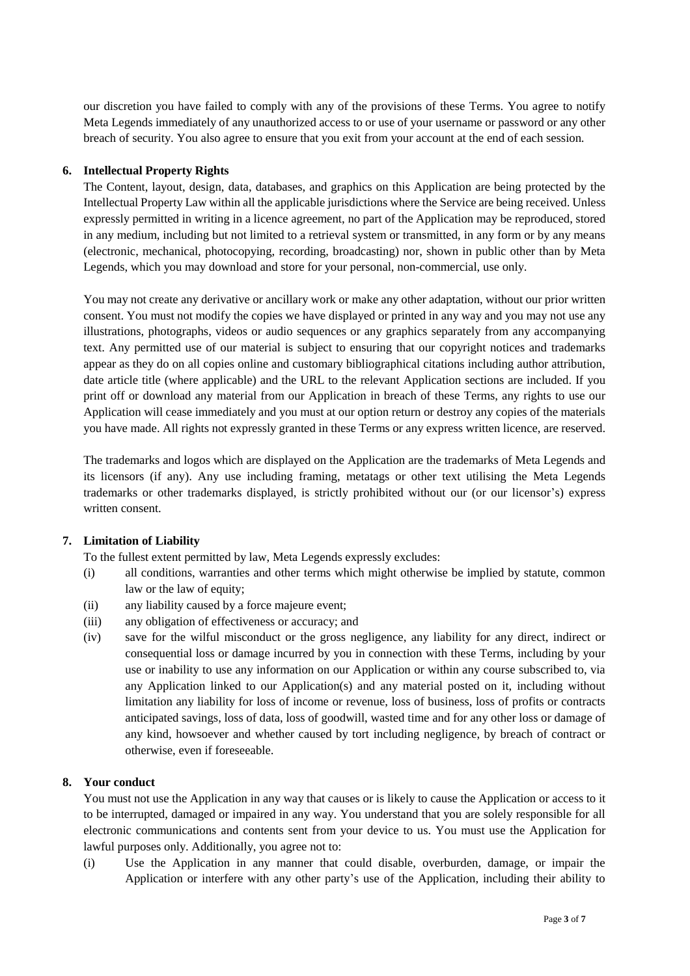our discretion you have failed to comply with any of the provisions of these Terms. You agree to notify Meta Legends immediately of any unauthorized access to or use of your username or password or any other breach of security. You also agree to ensure that you exit from your account at the end of each session.

## **6. Intellectual Property Rights**

The Content, layout, design, data, databases, and graphics on this Application are being protected by the Intellectual Property Law within all the applicable jurisdictions where the Service are being received. Unless expressly permitted in writing in a licence agreement, no part of the Application may be reproduced, stored in any medium, including but not limited to a retrieval system or transmitted, in any form or by any means (electronic, mechanical, photocopying, recording, broadcasting) nor, shown in public other than by Meta Legends, which you may download and store for your personal, non-commercial, use only.

You may not create any derivative or ancillary work or make any other adaptation, without our prior written consent. You must not modify the copies we have displayed or printed in any way and you may not use any illustrations, photographs, videos or audio sequences or any graphics separately from any accompanying text. Any permitted use of our material is subject to ensuring that our copyright notices and trademarks appear as they do on all copies online and customary bibliographical citations including author attribution, date article title (where applicable) and the URL to the relevant Application sections are included. If you print off or download any material from our Application in breach of these Terms, any rights to use our Application will cease immediately and you must at our option return or destroy any copies of the materials you have made. All rights not expressly granted in these Terms or any express written licence, are reserved.

The trademarks and logos which are displayed on the Application are the trademarks of Meta Legends and its licensors (if any). Any use including framing, metatags or other text utilising the Meta Legends trademarks or other trademarks displayed, is strictly prohibited without our (or our licensor's) express written consent.

# **7. Limitation of Liability**

To the fullest extent permitted by law, Meta Legends expressly excludes:

- (i) all conditions, warranties and other terms which might otherwise be implied by statute, common law or the law of equity;
- (ii) any liability caused by a force majeure event;
- (iii) any obligation of effectiveness or accuracy; and
- (iv) save for the wilful misconduct or the gross negligence, any liability for any direct, indirect or consequential loss or damage incurred by you in connection with these Terms, including by your use or inability to use any information on our Application or within any course subscribed to, via any Application linked to our Application(s) and any material posted on it, including without limitation any liability for loss of income or revenue, loss of business, loss of profits or contracts anticipated savings, loss of data, loss of goodwill, wasted time and for any other loss or damage of any kind, howsoever and whether caused by tort including negligence, by breach of contract or otherwise, even if foreseeable.

### **8. Your conduct**

You must not use the Application in any way that causes or is likely to cause the Application or access to it to be interrupted, damaged or impaired in any way. You understand that you are solely responsible for all electronic communications and contents sent from your device to us. You must use the Application for lawful purposes only. Additionally, you agree not to:

(i) Use the Application in any manner that could disable, overburden, damage, or impair the Application or interfere with any other party's use of the Application, including their ability to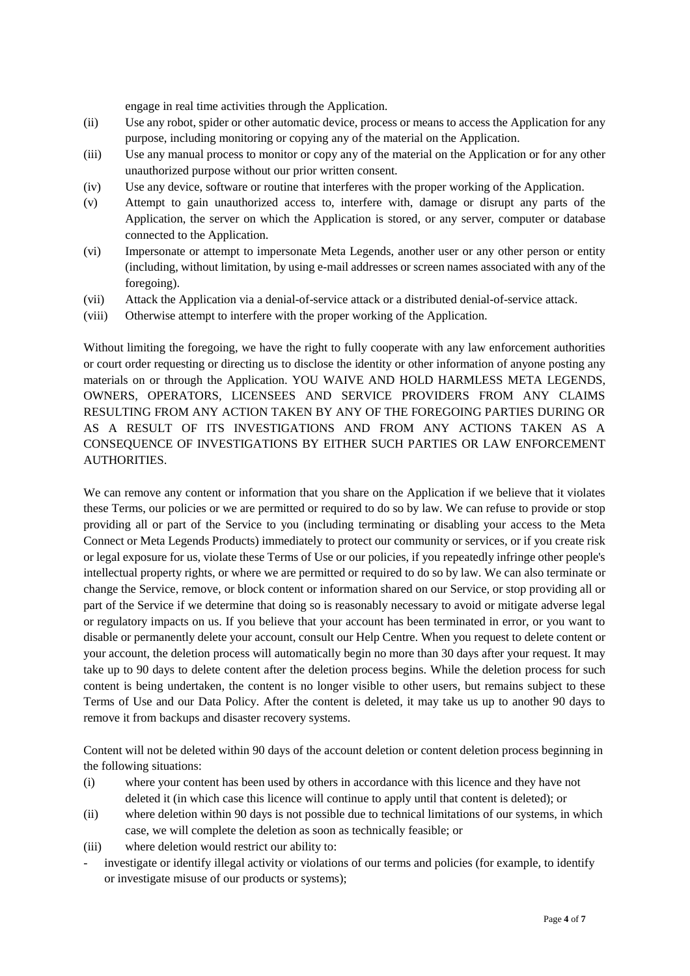engage in real time activities through the Application.

- (ii) Use any robot, spider or other automatic device, process or means to access the Application for any purpose, including monitoring or copying any of the material on the Application.
- (iii) Use any manual process to monitor or copy any of the material on the Application or for any other unauthorized purpose without our prior written consent.
- (iv) Use any device, software or routine that interferes with the proper working of the Application.
- (v) Attempt to gain unauthorized access to, interfere with, damage or disrupt any parts of the Application, the server on which the Application is stored, or any server, computer or database connected to the Application.
- (vi) Impersonate or attempt to impersonate Meta Legends, another user or any other person or entity (including, without limitation, by using e-mail addresses or screen names associated with any of the foregoing).
- (vii) Attack the Application via a denial-of-service attack or a distributed denial-of-service attack.
- (viii) Otherwise attempt to interfere with the proper working of the Application.

Without limiting the foregoing, we have the right to fully cooperate with any law enforcement authorities or court order requesting or directing us to disclose the identity or other information of anyone posting any materials on or through the Application. YOU WAIVE AND HOLD HARMLESS META LEGENDS, OWNERS, OPERATORS, LICENSEES AND SERVICE PROVIDERS FROM ANY CLAIMS RESULTING FROM ANY ACTION TAKEN BY ANY OF THE FOREGOING PARTIES DURING OR AS A RESULT OF ITS INVESTIGATIONS AND FROM ANY ACTIONS TAKEN AS A CONSEQUENCE OF INVESTIGATIONS BY EITHER SUCH PARTIES OR LAW ENFORCEMENT AUTHORITIES.

We can remove any content or information that you share on the Application if we believe that it violates these Terms, our policies or we are permitted or required to do so by law. We can refuse to provide or stop providing all or part of the Service to you (including terminating or disabling your access to the Meta Connect or Meta Legends Products) immediately to protect our community or services, or if you create risk or legal exposure for us, violate these Terms of Use or our policies, if you repeatedly infringe other people's intellectual property rights, or where we are permitted or required to do so by law. We can also terminate or change the Service, remove, or block content or information shared on our Service, or stop providing all or part of the Service if we determine that doing so is reasonably necessary to avoid or mitigate adverse legal or regulatory impacts on us. If you believe that your account has been terminated in error, or you want to disable or permanently delete your account, consult our Help Centre. When you request to delete content or your account, the deletion process will automatically begin no more than 30 days after your request. It may take up to 90 days to delete content after the deletion process begins. While the deletion process for such content is being undertaken, the content is no longer visible to other users, but remains subject to these Terms of Use and our Data Policy. After the content is deleted, it may take us up to another 90 days to remove it from backups and disaster recovery systems.

Content will not be deleted within 90 days of the account deletion or content deletion process beginning in the following situations:

- (i) where your content has been used by others in accordance with this licence and they have not deleted it (in which case this licence will continue to apply until that content is deleted); or
- (ii) where deletion within 90 days is not possible due to technical limitations of our systems, in which case, we will complete the deletion as soon as technically feasible; or
- (iii) where deletion would restrict our ability to:
- investigate or identify illegal activity or violations of our terms and policies (for example, to identify or investigate misuse of our products or systems);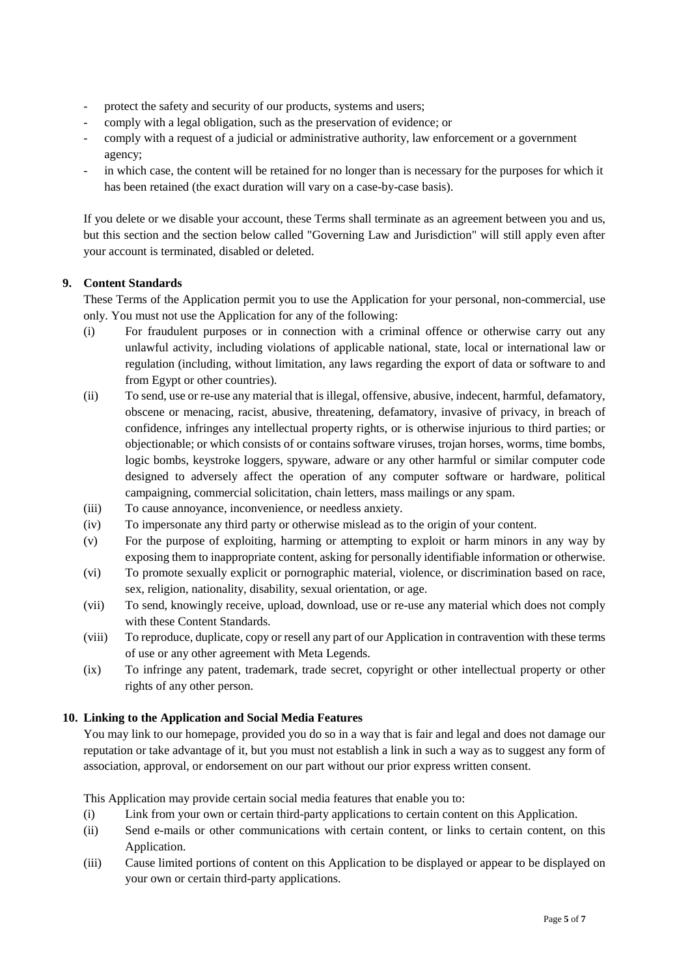- protect the safety and security of our products, systems and users;
- comply with a legal obligation, such as the preservation of evidence; or
- comply with a request of a judicial or administrative authority, law enforcement or a government agency;
- in which case, the content will be retained for no longer than is necessary for the purposes for which it has been retained (the exact duration will vary on a case-by-case basis).

If you delete or we disable your account, these Terms shall terminate as an agreement between you and us, but this section and the section below called "Governing Law and Jurisdiction" will still apply even after your account is terminated, disabled or deleted.

# **9. Content Standards**

These Terms of the Application permit you to use the Application for your personal, non-commercial, use only. You must not use the Application for any of the following:

- (i) For fraudulent purposes or in connection with a criminal offence or otherwise carry out any unlawful activity, including violations of applicable national, state, local or international law or regulation (including, without limitation, any laws regarding the export of data or software to and from Egypt or other countries).
- (ii) To send, use or re-use any material that is illegal, offensive, abusive, indecent, harmful, defamatory, obscene or menacing, racist, abusive, threatening, defamatory, invasive of privacy, in breach of confidence, infringes any intellectual property rights, or is otherwise injurious to third parties; or objectionable; or which consists of or contains software viruses, trojan horses, worms, time bombs, logic bombs, keystroke loggers, spyware, adware or any other harmful or similar computer code designed to adversely affect the operation of any computer software or hardware, political campaigning, commercial solicitation, chain letters, mass mailings or any spam.
- (iii) To cause annoyance, inconvenience, or needless anxiety.
- (iv) To impersonate any third party or otherwise mislead as to the origin of your content.
- (v) For the purpose of exploiting, harming or attempting to exploit or harm minors in any way by exposing them to inappropriate content, asking for personally identifiable information or otherwise.
- (vi) To promote sexually explicit or pornographic material, violence, or discrimination based on race, sex, religion, nationality, disability, sexual orientation, or age.
- (vii) To send, knowingly receive, upload, download, use or re-use any material which does not comply with these Content Standards.
- (viii) To reproduce, duplicate, copy or resell any part of our Application in contravention with these terms of use or any other agreement with Meta Legends.
- (ix) To infringe any patent, trademark, trade secret, copyright or other intellectual property or other rights of any other person.

## **10. Linking to the Application and Social Media Features**

You may link to our homepage, provided you do so in a way that is fair and legal and does not damage our reputation or take advantage of it, but you must not establish a link in such a way as to suggest any form of association, approval, or endorsement on our part without our prior express written consent.

This Application may provide certain social media features that enable you to:

- (i) Link from your own or certain third-party applications to certain content on this Application.
- (ii) Send e-mails or other communications with certain content, or links to certain content, on this Application.
- (iii) Cause limited portions of content on this Application to be displayed or appear to be displayed on your own or certain third-party applications.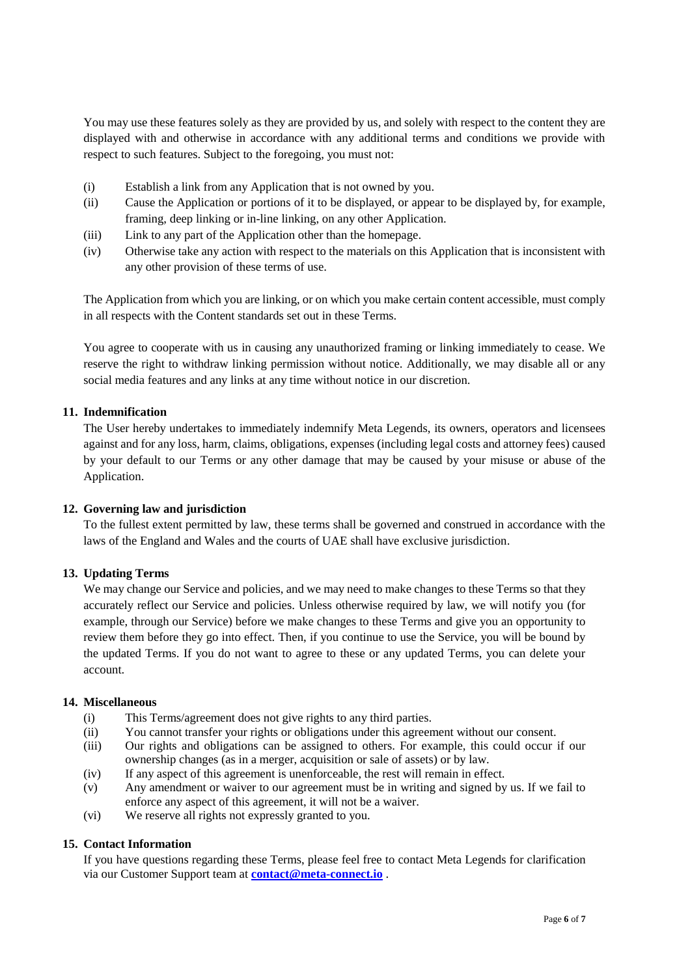You may use these features solely as they are provided by us, and solely with respect to the content they are displayed with and otherwise in accordance with any additional terms and conditions we provide with respect to such features. Subject to the foregoing, you must not:

- (i) Establish a link from any Application that is not owned by you.
- (ii) Cause the Application or portions of it to be displayed, or appear to be displayed by, for example, framing, deep linking or in-line linking, on any other Application.
- (iii) Link to any part of the Application other than the homepage.
- (iv) Otherwise take any action with respect to the materials on this Application that is inconsistent with any other provision of these terms of use.

The Application from which you are linking, or on which you make certain content accessible, must comply in all respects with the Content standards set out in these Terms.

You agree to cooperate with us in causing any unauthorized framing or linking immediately to cease. We reserve the right to withdraw linking permission without notice. Additionally, we may disable all or any social media features and any links at any time without notice in our discretion.

## **11. Indemnification**

The User hereby undertakes to immediately indemnify Meta Legends, its owners, operators and licensees against and for any loss, harm, claims, obligations, expenses (including legal costs and attorney fees) caused by your default to our Terms or any other damage that may be caused by your misuse or abuse of the Application.

### **12. Governing law and jurisdiction**

To the fullest extent permitted by law, these terms shall be governed and construed in accordance with the laws of the England and Wales and the courts of UAE shall have exclusive jurisdiction.

### **13. Updating Terms**

We may change our Service and policies, and we may need to make changes to these Terms so that they accurately reflect our Service and policies. Unless otherwise required by law, we will notify you (for example, through our Service) before we make changes to these Terms and give you an opportunity to review them before they go into effect. Then, if you continue to use the Service, you will be bound by the updated Terms. If you do not want to agree to these or any updated Terms, you can delete your account.

# **14. Miscellaneous**

- (i) This Terms/agreement does not give rights to any third parties.
- (ii) You cannot transfer your rights or obligations under this agreement without our consent.
- (iii) Our rights and obligations can be assigned to others. For example, this could occur if our ownership changes (as in a merger, acquisition or sale of assets) or by law.
- (iv) If any aspect of this agreement is unenforceable, the rest will remain in effect.
- (v) Any amendment or waiver to our agreement must be in writing and signed by us. If we fail to enforce any aspect of this agreement, it will not be a waiver.
- (vi) We reserve all rights not expressly granted to you.

## **15. Contact Information**

If you have questions regarding these Terms, please feel free to contact Meta Legends for clarification via our Customer Support team at **[contact@meta-connect.io](mailto:contact@meta-connect.io)** .